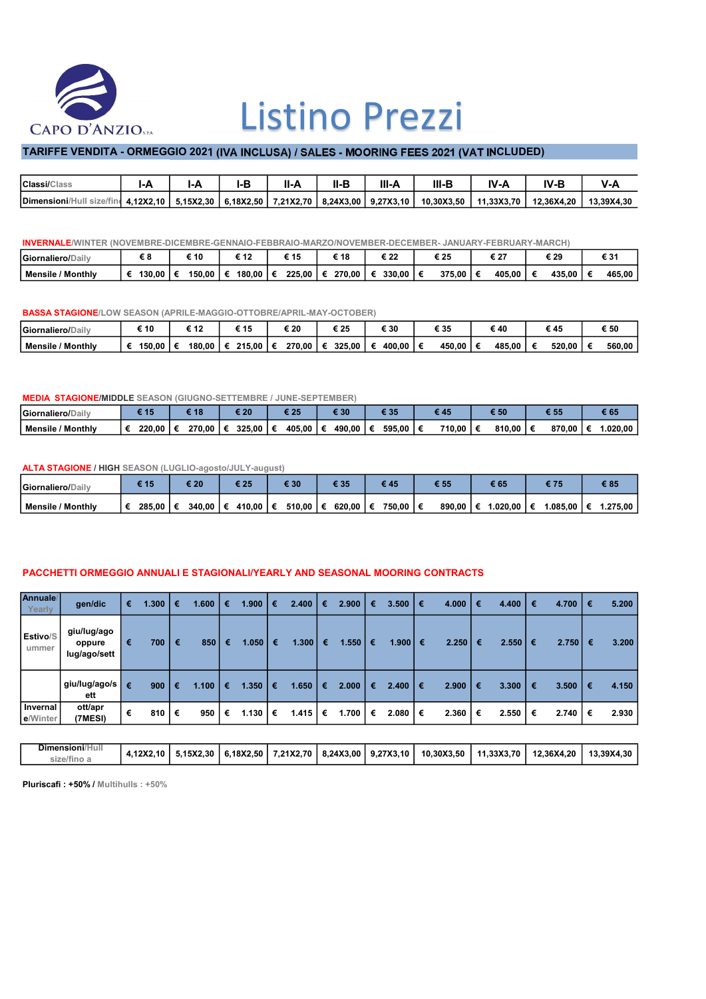

# Listino Prezzi

# TARIFFE VENDITA - ORMEGGIO 2021 (IVA INCLUSA) / SALES - MOORING FEES 2021 (VAT INCLUDED)

| 'Classi/Class             |           |           |             | Ш         |           | III- <i>l</i> | Ш٠         |                  |            | $V - A$    |
|---------------------------|-----------|-----------|-------------|-----------|-----------|---------------|------------|------------------|------------|------------|
| <i><b>IDimensioni</b></i> | 4.12X2.10 | 5.15X2.30 | $6.18X2.50$ | 7.21X2.70 | 8.24X3.00 | 9.27X3.10     | 10.30X3.50 | <b>1.33X3.70</b> | 12.36X4.20 | 13.39X4.30 |

#### INVERNALE/WINTER (NOVEMBRE-DICEMBRE-GENNAIO-FEBBRAIO-MARZO/NOVEMBER-DECEMBER- JANUARY-FEBRUARY-MARCH)

| <b>Giornaliero/Daily</b> |        | 10     |        |        | € 18   | e nn   | 25     | r n=<br>€ ∠ | E 70   | 2,<br>ະບາ |
|--------------------------|--------|--------|--------|--------|--------|--------|--------|-------------|--------|-----------|
| <b>Mensile / Monthly</b> | 130.00 | 150.00 | 180.00 | 225.00 | 270.00 | 330.00 | 375.00 | 405,00      | 435.00 | 465,00    |

BASSA STAGIONE/LOW SEASON (APRILE-MAGGIO-OTTOBRE/APRIL-MAY-OCTOBER)

| <b>Giornaliero/Dailv</b> | 10     | $\overline{a}$ |        | € 20<br>__ | .25<br>__ | E 30   | 35     | 40     | л.     | : 50   |
|--------------------------|--------|----------------|--------|------------|-----------|--------|--------|--------|--------|--------|
| Mensile / Monthlv        | 150.00 | 180.00         | 215.00 | 270.00     | 325.00    | 400.00 | 450,00 | 485,00 | 520.00 | 560,00 |

### MEDIA STAGIONE/MIDDLE SEASON (GIUGNO-SETTEMBRE / JUNE-SEPTEMBER)

| <b>Giornaliero/Daily</b> |        |        |        | .            | 130          |        |        | 50     |        |               |
|--------------------------|--------|--------|--------|--------------|--------------|--------|--------|--------|--------|---------------|
| <b>Mensile / Monthly</b> | 220.00 | 270.00 | 325.00 | 405.00<br>∣€ | 490.00<br>∣€ | 595,00 | 710,00 | 810.00 | 870.00 | .020.00<br>Ι€ |

## ALTA STAGIONE / HIGH SEASON (LUGLIO-agosto/JULY-august)

| <b>Giornaliero/Daily</b> |        |          | a ar       | : 30       | € 3!   |   |        | 155    | € 65    |            | : 85    |
|--------------------------|--------|----------|------------|------------|--------|---|--------|--------|---------|------------|---------|
| Mensile / Monthly        | 285,00 | $340.00$ | 410,00   € | 510,00   € | 620.00 | € | 750.00 | 890,00 | .020.00 | 1.085,00∣€ | .275.00 |

#### PACCHETTI ORMEGGIO ANNUALI E STAGIONALI/YEARLY AND SEASONAL MOORING CONTRACTS

| Annuale/<br>Yearly   | gen/dic                               | € | .300 <sub>1</sub> | € | 1.600 | € | 1.900 | € | 2.400 | € | 2.900                 | € | 3.500       | € | 4.000          | € | 4.400 | € | 4.700 | € | 5.200 |
|----------------------|---------------------------------------|---|-------------------|---|-------|---|-------|---|-------|---|-----------------------|---|-------------|---|----------------|---|-------|---|-------|---|-------|
| Estivo/S<br>ummer    | giu/lug/ago<br>oppure<br>lug/ago/sett | € | 700               | € | 850   | € | 1.050 | € | 1.300 | € | $1.550 \mid \epsilon$ |   | $1.900$ $∈$ |   | $2.250 \mid €$ |   | 2.550 | € | 2.750 | € | 3,200 |
|                      | giu/lug/ago/s<br>ett                  | € | 900               | € | 1.100 | € | 1.350 | € | 1.650 | € | 2.000                 | € | 2.400       | € | 2.900          | € | 3.300 | € | 3.500 | € | 4.150 |
| Invernal<br>e/Winter | ott/apr<br>(7MESI)                    | € | 810 l             | € | 950   | € | 1.130 | € | 1.415 | € | 1.700                 | € | 2.080       | € | 2.360          | € | 2.550 | € | 2.740 | € | 2.930 |

|  | Dimensioni/l-<br>.<br>1.02<br>size/fino | 4.12X2.<br>.10 | 5.15X2.30 | 6.18X2.50 | 7.21X2.70 | 8.24X3.00 | 9.27X3.10 | 10.30X3.50 | 1.33X3.70 | 12.36X4.20 | <b>13.39X4.30</b> |
|--|-----------------------------------------|----------------|-----------|-----------|-----------|-----------|-----------|------------|-----------|------------|-------------------|
|--|-----------------------------------------|----------------|-----------|-----------|-----------|-----------|-----------|------------|-----------|------------|-------------------|

Pluriscafi: +50% / Multihulls : +50%